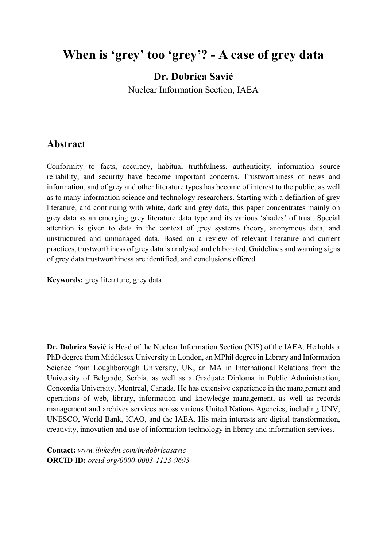# **When is 'grey' too 'grey'? - A case of grey data**

**Dr. Dobrica Savić**

Nuclear Information Section, IAEA

#### **Abstract**

Conformity to facts, accuracy, habitual truthfulness, authenticity, information source reliability, and security have become important concerns. Trustworthiness of news and information, and of grey and other literature types has become of interest to the public, as well as to many information science and technology researchers. Starting with a definition of grey literature, and continuing with white, dark and grey data, this paper concentrates mainly on grey data as an emerging grey literature data type and its various 'shades' of trust. Special attention is given to data in the context of grey systems theory, anonymous data, and unstructured and unmanaged data. Based on a review of relevant literature and current practices, trustworthiness of grey data is analysed and elaborated. Guidelines and warning signs of grey data trustworthiness are identified, and conclusions offered.

**Keywords:** grey literature, grey data

**Dr. Dobrica Savić** is Head of the Nuclear Information Section (NIS) of the IAEA. He holds a PhD degree from Middlesex University in London, an MPhil degree in Library and Information Science from Loughborough University, UK, an MA in International Relations from the University of Belgrade, Serbia, as well as a Graduate Diploma in Public Administration, Concordia University, Montreal, Canada. He has extensive experience in the management and operations of web, library, information and knowledge management, as well as records management and archives services across various United Nations Agencies, including UNV, UNESCO, World Bank, ICAO, and the IAEA. His main interests are digital transformation, creativity, innovation and use of information technology in library and information services.

**Contact:** *www.linkedin.com/in/dobricasavic*  **ORCID ID:** *orcid.org/0000-0003-1123-9693*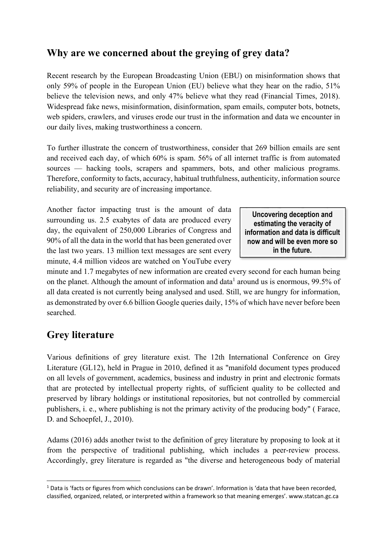## **Why are we concerned about the greying of grey data?**

Recent research by the European Broadcasting Union (EBU) on misinformation shows that only 59% of people in the European Union (EU) believe what they hear on the radio, 51% believe the television news, and only 47% believe what they read (Financial Times, 2018). Widespread fake news, misinformation, disinformation, spam emails, computer bots, botnets, web spiders, crawlers, and viruses erode our trust in the information and data we encounter in our daily lives, making trustworthiness a concern.

To further illustrate the concern of trustworthiness, consider that 269 billion emails are sent and received each day, of which 60% is spam. 56% of all internet traffic is from automated sources — hacking tools, scrapers and spammers, bots, and other malicious programs. Therefore, conformity to facts, accuracy, habitual truthfulness, authenticity, information source reliability, and security are of increasing importance.

Another factor impacting trust is the amount of data surrounding us. 2.5 exabytes of data are produced every day, the equivalent of 250,000 Libraries of Congress and 90% of all the data in the world that has been generated over the last two years. 13 million text messages are sent every minute, 4.4 million videos are watched on YouTube every

**Uncovering deception and estimating the veracity of information and data is difficult now and will be even more so in the future.**

minute and 1.7 megabytes of new information are created every second for each human being on the planet. Although the amount of information and data<sup>1</sup> around us is enormous, 99.5% of all data created is not currently being analysed and used. Still, we are hungry for information, as demonstrated by over 6.6 billion Google queries daily, 15% of which have never before been searched.

## **Grey literature**

Various definitions of grey literature exist. The 12th International Conference on Grey Literature (GL12), held in Prague in 2010, defined it as "manifold document types produced on all levels of government, academics, business and industry in print and electronic formats that are protected by intellectual property rights, of sufficient quality to be collected and preserved by library holdings or institutional repositories, but not controlled by commercial publishers, i. e., where publishing is not the primary activity of the producing body" ( Farace, D. and Schoepfel, J., 2010).

Adams (2016) adds another twist to the definition of grey literature by proposing to look at it from the perspective of traditional publishing, which includes a peer-review process. Accordingly, grey literature is regarded as "the diverse and heterogeneous body of material

 <sup>1</sup> Data is 'facts or figures from which conclusions can be drawn'. Information is 'data that have been recorded, classified, organized, related, or interpreted within a framework so that meaning emerges'. www.statcan.gc.ca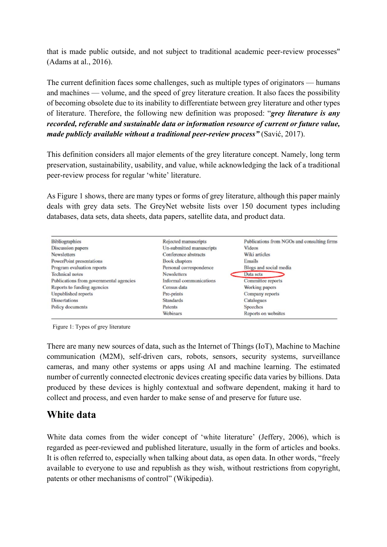that is made public outside, and not subject to traditional academic peer-review processes" (Adams at al., 2016).

The current definition faces some challenges, such as multiple types of originators — humans and machines — volume, and the speed of grey literature creation. It also faces the possibility of becoming obsolete due to its inability to differentiate between grey literature and other types of literature. Therefore, the following new definition was proposed: "*grey literature is any recorded, referable and sustainable data or information resource of current or future value, made publicly available without a traditional peer-review process"* (Savić, 2017).

This definition considers all major elements of the grey literature concept. Namely, long term preservation, sustainability, usability, and value, while acknowledging the lack of a traditional peer-review process for regular 'white' literature.

As Figure 1 shows, there are many types or forms of grey literature, although this paper mainly deals with grey data sets. The GreyNet website lists over 150 document types including databases, data sets, data sheets, data papers, satellite data, and product data.



Figure 1: Types of grey literature

There are many new sources of data, such as the Internet of Things (IoT), Machine to Machine communication (M2M), self-driven cars, robots, sensors, security systems, surveillance cameras, and many other systems or apps using AI and machine learning. The estimated number of currently connected electronic devices creating specific data varies by billions. Data produced by these devices is highly contextual and software dependent, making it hard to collect and process, and even harder to make sense of and preserve for future use.

#### **White data**

White data comes from the wider concept of 'white literature' (Jeffery, 2006), which is regarded as peer-reviewed and published literature, usually in the form of articles and books. It is often referred to, especially when talking about data, as open data. In other words, "freely available to everyone to use and republish as they wish, without restrictions from copyright, patents or other mechanisms of control" (Wikipedia).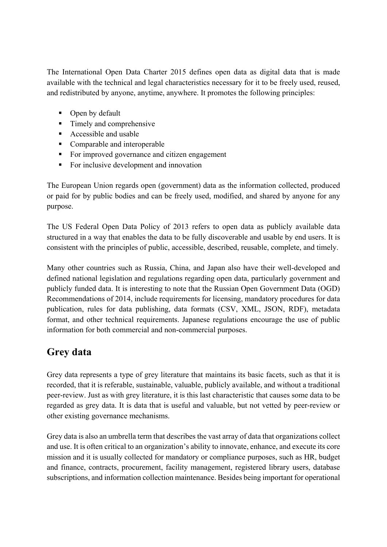The International Open Data Charter 2015 defines open data as digital data that is made available with the technical and legal characteristics necessary for it to be freely used, reused, and redistributed by anyone, anytime, anywhere. It promotes the following principles:

- Open by default
- Timely and comprehensive
- Accessible and usable
- Comparable and interoperable
- For improved governance and citizen engagement
- For inclusive development and innovation

The European Union regards open (government) data as the information collected, produced or paid for by public bodies and can be freely used, modified, and shared by anyone for any purpose.

The US Federal Open Data Policy of 2013 refers to open data as publicly available data structured in a way that enables the data to be fully discoverable and usable by end users. It is consistent with the principles of public, accessible, described, reusable, complete, and timely.

Many other countries such as Russia, China, and Japan also have their well-developed and defined national legislation and regulations regarding open data, particularly government and publicly funded data. It is interesting to note that the Russian Open Government Data (OGD) Recommendations of 2014, include requirements for licensing, mandatory procedures for data publication, rules for data publishing, data formats (CSV, XML, JSON, RDF), metadata format, and other technical requirements. Japanese regulations encourage the use of public information for both commercial and non-commercial purposes.

# **Grey data**

Grey data represents a type of grey literature that maintains its basic facets, such as that it is recorded, that it is referable, sustainable, valuable, publicly available, and without a traditional peer-review. Just as with grey literature, it is this last characteristic that causes some data to be regarded as grey data. It is data that is useful and valuable, but not vetted by peer-review or other existing governance mechanisms.

Grey data is also an umbrella term that describes the vast array of data that organizations collect and use. It is often critical to an organization's ability to innovate, enhance, and execute its core mission and it is usually collected for mandatory or compliance purposes, such as HR, budget and finance, contracts, procurement, facility management, registered library users, database subscriptions, and information collection maintenance. Besides being important for operational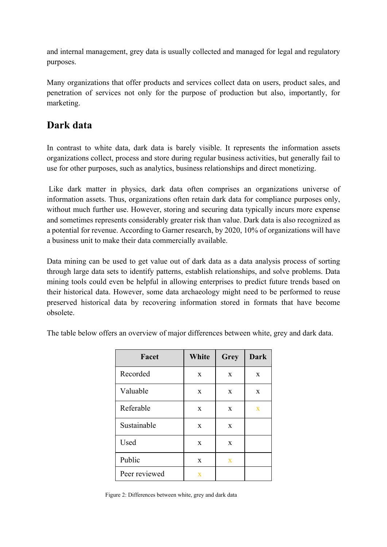and internal management, grey data is usually collected and managed for legal and regulatory purposes.

Many organizations that offer products and services collect data on users, product sales, and penetration of services not only for the purpose of production but also, importantly, for marketing.

## **Dark data**

In contrast to white data, dark data is barely visible. It represents the information assets organizations collect, process and store during regular business activities, but generally fail to use for other purposes, such as analytics, business relationships and direct monetizing.

 Like dark matter in physics, dark data often comprises an organizations universe of information assets. Thus, organizations often retain dark data for compliance purposes only, without much further use. However, storing and securing data typically incurs more expense and sometimes represents considerably greater risk than value. Dark data is also recognized as a potential for revenue. According to Garner research, by 2020, 10% of organizations will have a business unit to make their data commercially available.

Data mining can be used to get value out of dark data as a data analysis process of sorting through large data sets to identify patterns, establish relationships, and solve problems. Data mining tools could even be helpful in allowing enterprises to predict future trends based on their historical data. However, some data archaeology might need to be performed to reuse preserved historical data by recovering information stored in formats that have become obsolete.

| Facet         | White       | Grey         | <b>Dark</b> |
|---------------|-------------|--------------|-------------|
| Recorded      | X           | X            | X           |
| Valuable      | X           | X            | X           |
| Referable     | X           | X            | X           |
| Sustainable   | X           | $\mathbf{x}$ |             |
| Used          | $\mathbf x$ | $\mathbf{x}$ |             |
| Public        | X           | X            |             |
| Peer reviewed | X           |              |             |
|               |             |              |             |

The table below offers an overview of major differences between white, grey and dark data.

Figure 2: Differences between white, grey and dark data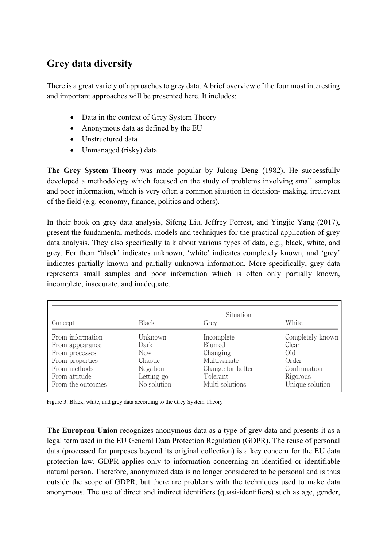# **Grey data diversity**

There is a great variety of approaches to grey data. A brief overview of the four most interesting and important approaches will be presented here. It includes:

- Data in the context of Grey System Theory
- Anonymous data as defined by the EU
- Unstructured data
- Unmanaged (risky) data

**The Grey System Theory** was made popular by Julong Deng (1982). He successfully developed a methodology which focused on the study of problems involving small samples and poor information, which is very often a common situation in decision- making, irrelevant of the field (e.g. economy, finance, politics and others).

In their book on grey data analysis, Sifeng Liu, Jeffrey Forrest, and Yingjie Yang (2017), present the fundamental methods, models and techniques for the practical application of grey data analysis. They also specifically talk about various types of data, e.g., black, white, and grey. For them 'black' indicates unknown, 'white' indicates completely known, and 'grey' indicates partially known and partially unknown information. More specifically, grey data represents small samples and poor information which is often only partially known, incomplete, inaccurate, and inadequate.

|                   | Situation   |                   |                  |  |
|-------------------|-------------|-------------------|------------------|--|
| Concept           | Black       | Grey              | White            |  |
| From information  | Unknown     | Incomplete        | Completely known |  |
| From appearance   | Dark        | Blurred           | Clear            |  |
| From processes    | <b>New</b>  | Changing          | Old              |  |
| From properties   | Chaotic     | Multivariate      | Order            |  |
| From methods      | Negation    | Change for better | Confirmation     |  |
| From attitude     | Letting go  | Tolerant          | Rigorous         |  |
| From the outcomes | No solution | Multi-solutions   | Unique solution  |  |

Figure 3: Black, white, and grey data according to the Grey System Theory

**The European Union** recognizes anonymous data as a type of grey data and presents it as a legal term used in the EU General Data Protection Regulation (GDPR). The reuse of personal data (processed for purposes beyond its original collection) is a key concern for the EU data protection law. GDPR applies only to information concerning an identified or identifiable natural person. Therefore, anonymized data is no longer considered to be personal and is thus outside the scope of GDPR, but there are problems with the techniques used to make data anonymous. The use of direct and indirect identifiers (quasi-identifiers) such as age, gender,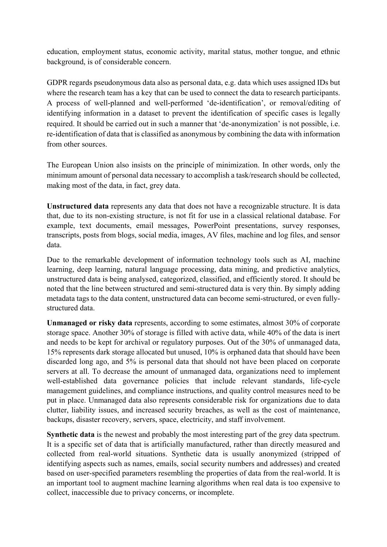education, employment status, economic activity, marital status, mother tongue, and ethnic background, is of considerable concern.

GDPR regards pseudonymous data also as personal data, e.g. data which uses assigned IDs but where the research team has a key that can be used to connect the data to research participants. A process of well-planned and well-performed 'de-identification', or removal/editing of identifying information in a dataset to prevent the identification of specific cases is legally required. It should be carried out in such a manner that 'de-anonymization' is not possible, i.e. re-identification of data that is classified as anonymous by combining the data with information from other sources.

The European Union also insists on the principle of minimization. In other words, only the minimum amount of personal data necessary to accomplish a task/research should be collected, making most of the data, in fact, grey data.

**Unstructured data** represents any data that does not have a recognizable structure. It is data that, due to its non-existing structure, is not fit for use in a classical relational database. For example, text documents, email messages, PowerPoint presentations, survey responses, transcripts, posts from blogs, social media, images, AV files, machine and log files, and sensor data.

Due to the remarkable development of information technology tools such as AI, machine learning, deep learning, natural language processing, data mining, and predictive analytics, unstructured data is being analysed, categorized, classified, and efficiently stored. It should be noted that the line between structured and semi-structured data is very thin. By simply adding metadata tags to the data content, unstructured data can become semi-structured, or even fullystructured data.

**Unmanaged or risky data** represents, according to some estimates, almost 30% of corporate storage space. Another 30% of storage is filled with active data, while 40% of the data is inert and needs to be kept for archival or regulatory purposes. Out of the 30% of unmanaged data, 15% represents dark storage allocated but unused, 10% is orphaned data that should have been discarded long ago, and 5% is personal data that should not have been placed on corporate servers at all. To decrease the amount of unmanaged data, organizations need to implement well-established data governance policies that include relevant standards, life-cycle management guidelines, and compliance instructions, and quality control measures need to be put in place. Unmanaged data also represents considerable risk for organizations due to data clutter, liability issues, and increased security breaches, as well as the cost of maintenance, backups, disaster recovery, servers, space, electricity, and staff involvement.

**Synthetic data** is the newest and probably the most interesting part of the grey data spectrum. It is a specific set of data that is artificially manufactured, rather than directly measured and collected from real-world situations. Synthetic data is usually anonymized (stripped of identifying aspects such as names, emails, social security numbers and addresses) and created based on user-specified parameters resembling the properties of data from the real-world. It is an important tool to augment machine learning algorithms when real data is too expensive to collect, inaccessible due to privacy concerns, or incomplete.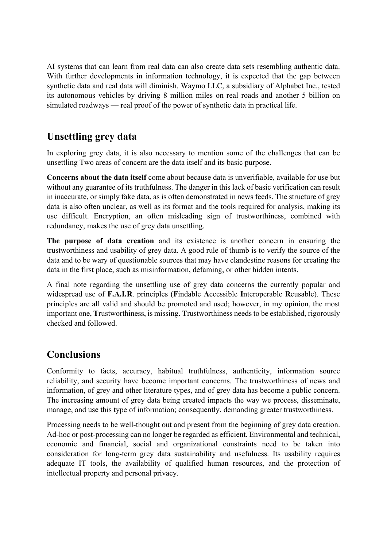AI systems that can learn from real data can also create data sets resembling authentic data. With further developments in information technology, it is expected that the gap between synthetic data and real data will diminish. Waymo LLC, a subsidiary of Alphabet Inc., tested its autonomous vehicles by driving 8 million miles on real roads and another 5 billion on simulated roadways — real proof of the power of synthetic data in practical life.

# **Unsettling grey data**

In exploring grey data, it is also necessary to mention some of the challenges that can be unsettling Two areas of concern are the data itself and its basic purpose.

**Concerns about the data itself** come about because data is unverifiable, available for use but without any guarantee of its truthfulness. The danger in this lack of basic verification can result in inaccurate, or simply fake data, as is often demonstrated in news feeds. The structure of grey data is also often unclear, as well as its format and the tools required for analysis, making its use difficult. Encryption, an often misleading sign of trustworthiness, combined with redundancy, makes the use of grey data unsettling.

**The purpose of data creation** and its existence is another concern in ensuring the trustworthiness and usability of grey data. A good rule of thumb is to verify the source of the data and to be wary of questionable sources that may have clandestine reasons for creating the data in the first place, such as misinformation, defaming, or other hidden intents.

A final note regarding the unsettling use of grey data concerns the currently popular and widespread use of **F.A.I.R**. principles (**F**indable **A**ccessible **I**nteroperable **R**eusable). These principles are all valid and should be promoted and used; however, in my opinion, the most important one, **T**rustworthiness, is missing. **T**rustworthiness needs to be established, rigorously checked and followed.

## **Conclusions**

Conformity to facts, accuracy, habitual truthfulness, authenticity, information source reliability, and security have become important concerns. The trustworthiness of news and information, of grey and other literature types, and of grey data has become a public concern. The increasing amount of grey data being created impacts the way we process, disseminate, manage, and use this type of information; consequently, demanding greater trustworthiness.

Processing needs to be well-thought out and present from the beginning of grey data creation. Ad-hoc or post-processing can no longer be regarded as efficient. Environmental and technical, economic and financial, social and organizational constraints need to be taken into consideration for long-term grey data sustainability and usefulness. Its usability requires adequate IT tools, the availability of qualified human resources, and the protection of intellectual property and personal privacy.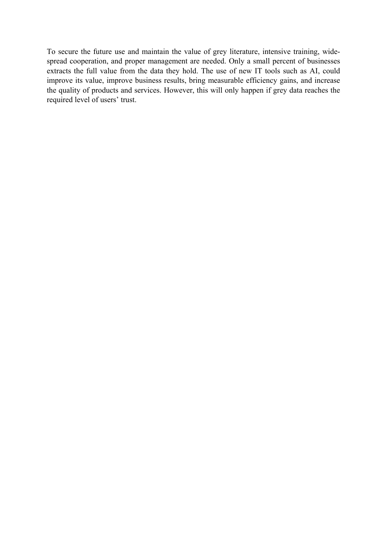To secure the future use and maintain the value of grey literature, intensive training, widespread cooperation, and proper management are needed. Only a small percent of businesses extracts the full value from the data they hold. The use of new IT tools such as AI, could improve its value, improve business results, bring measurable efficiency gains, and increase the quality of products and services. However, this will only happen if grey data reaches the required level of users' trust.